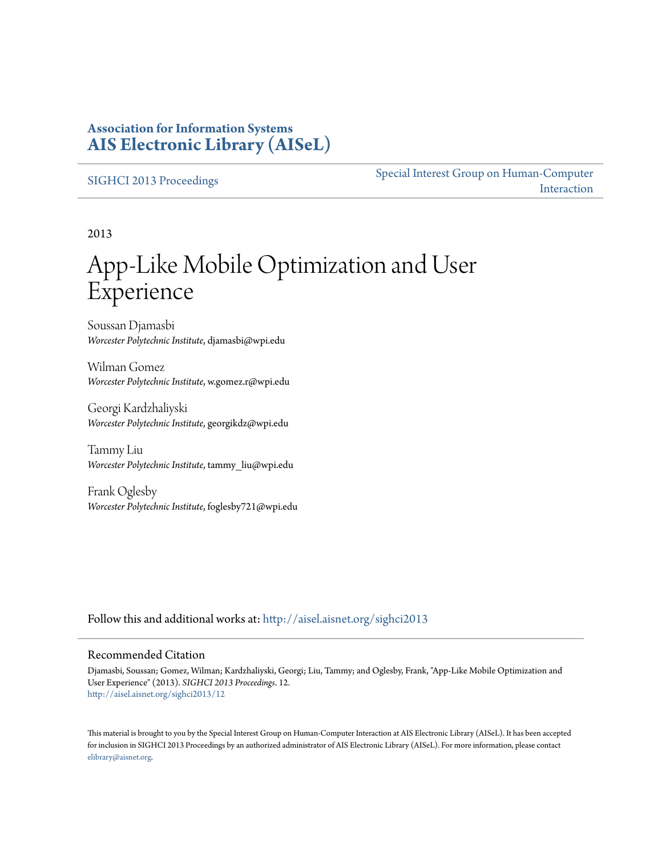## **Association for Information Systems [AIS Electronic Library \(AISeL\)](http://aisel.aisnet.org?utm_source=aisel.aisnet.org%2Fsighci2013%2F12&utm_medium=PDF&utm_campaign=PDFCoverPages)**

### [SIGHCI 2013 Proceedings](http://aisel.aisnet.org/sighci2013?utm_source=aisel.aisnet.org%2Fsighci2013%2F12&utm_medium=PDF&utm_campaign=PDFCoverPages)

[Special Interest Group on Human-Computer](http://aisel.aisnet.org/sighci?utm_source=aisel.aisnet.org%2Fsighci2013%2F12&utm_medium=PDF&utm_campaign=PDFCoverPages) [Interaction](http://aisel.aisnet.org/sighci?utm_source=aisel.aisnet.org%2Fsighci2013%2F12&utm_medium=PDF&utm_campaign=PDFCoverPages)

2013

# App-Like Mobile Optimization and User Experience

Soussan Djamasbi *Worcester Polytechnic Institute*, djamasbi@wpi.edu

Wilman Gomez *Worcester Polytechnic Institute*, w.gomez.r@wpi.edu

Georgi Kardzhaliyski *Worcester Polytechnic Institute*, georgikdz@wpi.edu

Tammy Liu *Worcester Polytechnic Institute*, tammy\_liu@wpi.edu

Frank Oglesby *Worcester Polytechnic Institute*, foglesby721@wpi.edu

Follow this and additional works at: [http://aisel.aisnet.org/sighci2013](http://aisel.aisnet.org/sighci2013?utm_source=aisel.aisnet.org%2Fsighci2013%2F12&utm_medium=PDF&utm_campaign=PDFCoverPages)

#### Recommended Citation

Djamasbi, Soussan; Gomez, Wilman; Kardzhaliyski, Georgi; Liu, Tammy; and Oglesby, Frank, "App-Like Mobile Optimization and User Experience" (2013). *SIGHCI 2013 Proceedings*. 12. [http://aisel.aisnet.org/sighci2013/12](http://aisel.aisnet.org/sighci2013/12?utm_source=aisel.aisnet.org%2Fsighci2013%2F12&utm_medium=PDF&utm_campaign=PDFCoverPages)

This material is brought to you by the Special Interest Group on Human-Computer Interaction at AIS Electronic Library (AISeL). It has been accepted for inclusion in SIGHCI 2013 Proceedings by an authorized administrator of AIS Electronic Library (AISeL). For more information, please contact [elibrary@aisnet.org.](mailto:elibrary@aisnet.org%3E)